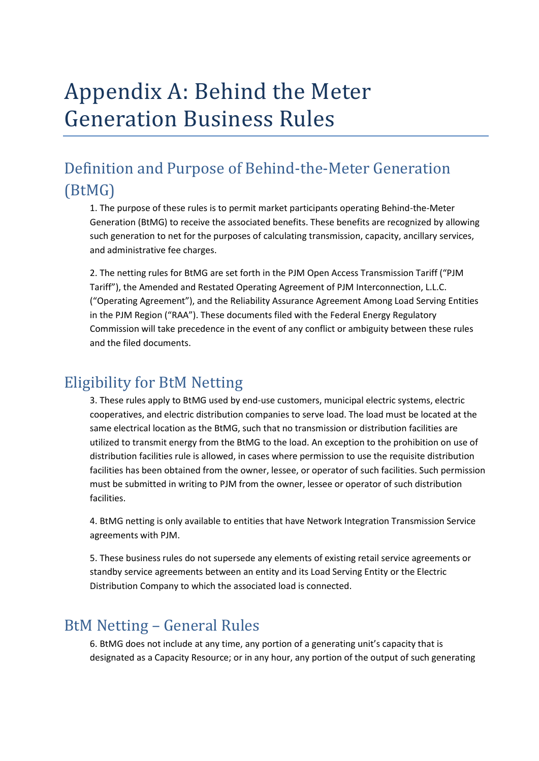# Appendix A: Behind the Meter Generation Business Rules

## Definition and Purpose of Behind-the-Meter Generation (BtMG)

1. The purpose of these rules is to permit market participants operating Behind-the-Meter Generation (BtMG) to receive the associated benefits. These benefits are recognized by allowing such generation to net for the purposes of calculating transmission, capacity, ancillary services, and administrative fee charges.

2. The netting rules for BtMG are set forth in the PJM Open Access Transmission Tariff ("PJM Tariff"), the Amended and Restated Operating Agreement of PJM Interconnection, L.L.C. ("Operating Agreement"), and the Reliability Assurance Agreement Among Load Serving Entities in the PJM Region ("RAA"). These documents filed with the Federal Energy Regulatory Commission will take precedence in the event of any conflict or ambiguity between these rules and the filed documents.

#### Eligibility for BtM Netting

3. These rules apply to BtMG used by end-use customers, municipal electric systems, electric cooperatives, and electric distribution companies to serve load. The load must be located at the same electrical location as the BtMG, such that no transmission or distribution facilities are utilized to transmit energy from the BtMG to the load. An exception to the prohibition on use of distribution facilities rule is allowed, in cases where permission to use the requisite distribution facilities has been obtained from the owner, lessee, or operator of such facilities. Such permission must be submitted in writing to PJM from the owner, lessee or operator of such distribution facilities.

4. BtMG netting is only available to entities that have Network Integration Transmission Service agreements with PJM.

5. These business rules do not supersede any elements of existing retail service agreements or standby service agreements between an entity and its Load Serving Entity or the Electric Distribution Company to which the associated load is connected.

#### BtM Netting – General Rules

6. BtMG does not include at any time, any portion of a generating unit's capacity that is designated as a Capacity Resource; or in any hour, any portion of the output of such generating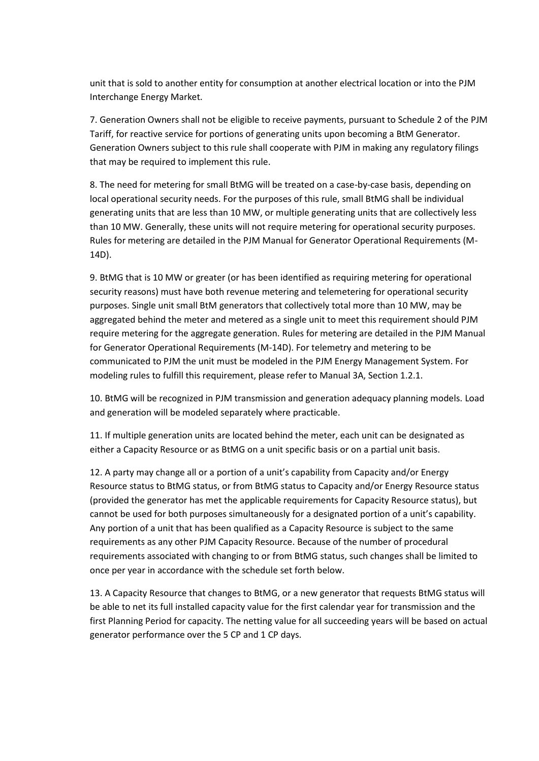unit that is sold to another entity for consumption at another electrical location or into the PJM Interchange Energy Market.

7. Generation Owners shall not be eligible to receive payments, pursuant to Schedule 2 of the PJM Tariff, for reactive service for portions of generating units upon becoming a BtM Generator. Generation Owners subject to this rule shall cooperate with PJM in making any regulatory filings that may be required to implement this rule.

8. The need for metering for small BtMG will be treated on a case-by-case basis, depending on local operational security needs. For the purposes of this rule, small BtMG shall be individual generating units that are less than 10 MW, or multiple generating units that are collectively less than 10 MW. Generally, these units will not require metering for operational security purposes. Rules for metering are detailed in the PJM Manual for Generator Operational Requirements (M-14D).

9. BtMG that is 10 MW or greater (or has been identified as requiring metering for operational security reasons) must have both revenue metering and telemetering for operational security purposes. Single unit small BtM generators that collectively total more than 10 MW, may be aggregated behind the meter and metered as a single unit to meet this requirement should PJM require metering for the aggregate generation. Rules for metering are detailed in the PJM Manual for Generator Operational Requirements (M-14D). For telemetry and metering to be communicated to PJM the unit must be modeled in the PJM Energy Management System. For modeling rules to fulfill this requirement, please refer to Manual 3A, Section 1.2.1.

10. BtMG will be recognized in PJM transmission and generation adequacy planning models. Load and generation will be modeled separately where practicable.

11. If multiple generation units are located behind the meter, each unit can be designated as either a Capacity Resource or as BtMG on a unit specific basis or on a partial unit basis.

12. A party may change all or a portion of a unit's capability from Capacity and/or Energy Resource status to BtMG status, or from BtMG status to Capacity and/or Energy Resource status (provided the generator has met the applicable requirements for Capacity Resource status), but cannot be used for both purposes simultaneously for a designated portion of a unit's capability. Any portion of a unit that has been qualified as a Capacity Resource is subject to the same requirements as any other PJM Capacity Resource. Because of the number of procedural requirements associated with changing to or from BtMG status, such changes shall be limited to once per year in accordance with the schedule set forth below.

13. A Capacity Resource that changes to BtMG, or a new generator that requests BtMG status will be able to net its full installed capacity value for the first calendar year for transmission and the first Planning Period for capacity. The netting value for all succeeding years will be based on actual generator performance over the 5 CP and 1 CP days.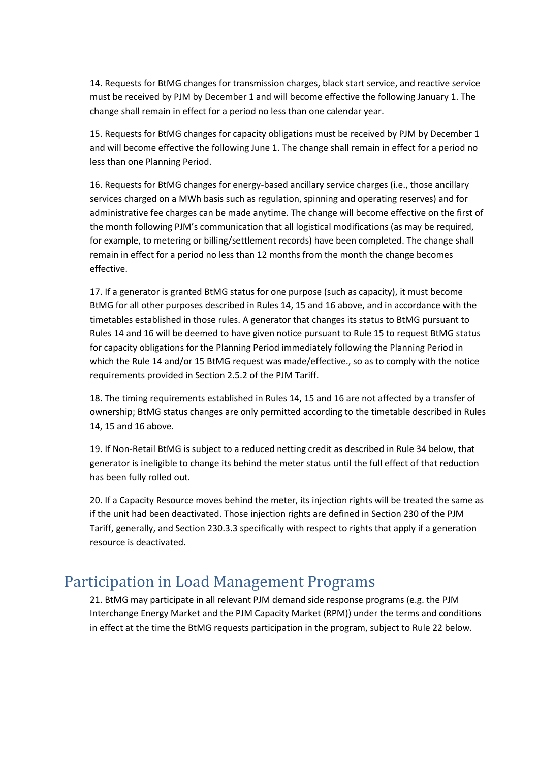14. Requests for BtMG changes for transmission charges, black start service, and reactive service must be received by PJM by December 1 and will become effective the following January 1. The change shall remain in effect for a period no less than one calendar year.

15. Requests for BtMG changes for capacity obligations must be received by PJM by December 1 and will become effective the following June 1. The change shall remain in effect for a period no less than one Planning Period.

16. Requests for BtMG changes for energy-based ancillary service charges (i.e., those ancillary services charged on a MWh basis such as regulation, spinning and operating reserves) and for administrative fee charges can be made anytime. The change will become effective on the first of the month following PJM's communication that all logistical modifications (as may be required, for example, to metering or billing/settlement records) have been completed. The change shall remain in effect for a period no less than 12 months from the month the change becomes effective.

17. If a generator is granted BtMG status for one purpose (such as capacity), it must become BtMG for all other purposes described in Rules 14, 15 and 16 above, and in accordance with the timetables established in those rules. A generator that changes its status to BtMG pursuant to Rules 14 and 16 will be deemed to have given notice pursuant to Rule 15 to request BtMG status for capacity obligations for the Planning Period immediately following the Planning Period in which the Rule 14 and/or 15 BtMG request was made/effective., so as to comply with the notice requirements provided in Section 2.5.2 of the PJM Tariff.

18. The timing requirements established in Rules 14, 15 and 16 are not affected by a transfer of ownership; BtMG status changes are only permitted according to the timetable described in Rules 14, 15 and 16 above.

19. If Non-Retail BtMG is subject to a reduced netting credit as described in Rule 34 below, that generator is ineligible to change its behind the meter status until the full effect of that reduction has been fully rolled out.

20. If a Capacity Resource moves behind the meter, its injection rights will be treated the same as if the unit had been deactivated. Those injection rights are defined in Section 230 of the PJM Tariff, generally, and Section 230.3.3 specifically with respect to rights that apply if a generation resource is deactivated.

#### Participation in Load Management Programs

21. BtMG may participate in all relevant PJM demand side response programs (e.g. the PJM Interchange Energy Market and the PJM Capacity Market (RPM)) under the terms and conditions in effect at the time the BtMG requests participation in the program, subject to Rule 22 below.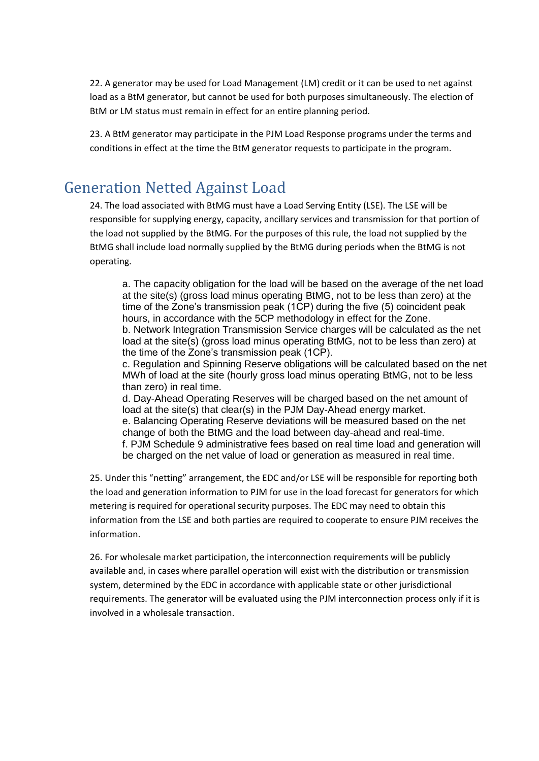22. A generator may be used for Load Management (LM) credit or it can be used to net against load as a BtM generator, but cannot be used for both purposes simultaneously. The election of BtM or LM status must remain in effect for an entire planning period.

23. A BtM generator may participate in the PJM Load Response programs under the terms and conditions in effect at the time the BtM generator requests to participate in the program.

#### Generation Netted Against Load

24. The load associated with BtMG must have a Load Serving Entity (LSE). The LSE will be responsible for supplying energy, capacity, ancillary services and transmission for that portion of the load not supplied by the BtMG. For the purposes of this rule, the load not supplied by the BtMG shall include load normally supplied by the BtMG during periods when the BtMG is not operating.

a. The capacity obligation for the load will be based on the average of the net load at the site(s) (gross load minus operating BtMG, not to be less than zero) at the time of the Zone's transmission peak (1CP) during the five (5) coincident peak hours, in accordance with the 5CP methodology in effect for the Zone. b. Network Integration Transmission Service charges will be calculated as the net load at the site(s) (gross load minus operating BtMG, not to be less than zero) at the time of the Zone's transmission peak (1CP).

c. Regulation and Spinning Reserve obligations will be calculated based on the net MWh of load at the site (hourly gross load minus operating BtMG, not to be less than zero) in real time.

d. Day-Ahead Operating Reserves will be charged based on the net amount of load at the site(s) that clear(s) in the PJM Day-Ahead energy market. e. Balancing Operating Reserve deviations will be measured based on the net change of both the BtMG and the load between day-ahead and real-time. f. PJM Schedule 9 administrative fees based on real time load and generation will be charged on the net value of load or generation as measured in real time.

25. Under this "netting" arrangement, the EDC and/or LSE will be responsible for reporting both the load and generation information to PJM for use in the load forecast for generators for which metering is required for operational security purposes. The EDC may need to obtain this information from the LSE and both parties are required to cooperate to ensure PJM receives the information.

26. For wholesale market participation, the interconnection requirements will be publicly available and, in cases where parallel operation will exist with the distribution or transmission system, determined by the EDC in accordance with applicable state or other jurisdictional requirements. The generator will be evaluated using the PJM interconnection process only if it is involved in a wholesale transaction.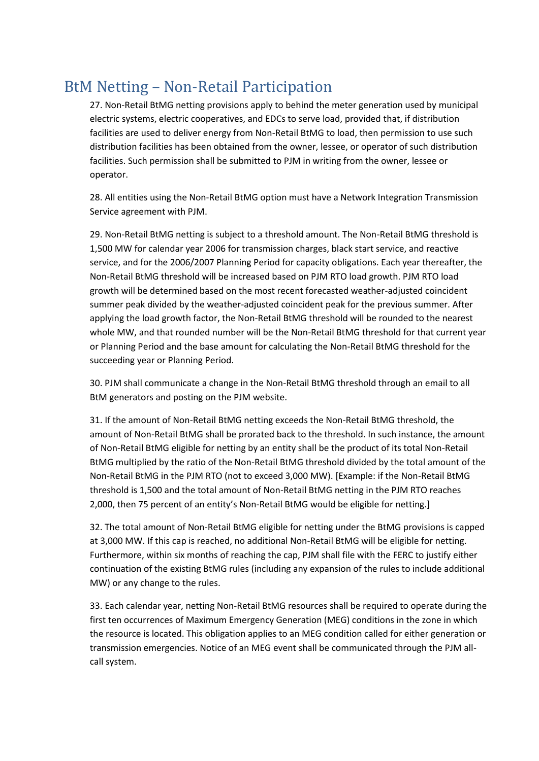## BtM Netting – Non-Retail Participation

27. Non-Retail BtMG netting provisions apply to behind the meter generation used by municipal electric systems, electric cooperatives, and EDCs to serve load, provided that, if distribution facilities are used to deliver energy from Non-Retail BtMG to load, then permission to use such distribution facilities has been obtained from the owner, lessee, or operator of such distribution facilities. Such permission shall be submitted to PJM in writing from the owner, lessee or operator.

28. All entities using the Non-Retail BtMG option must have a Network Integration Transmission Service agreement with PJM.

29. Non-Retail BtMG netting is subject to a threshold amount. The Non-Retail BtMG threshold is 1,500 MW for calendar year 2006 for transmission charges, black start service, and reactive service, and for the 2006/2007 Planning Period for capacity obligations. Each year thereafter, the Non-Retail BtMG threshold will be increased based on PJM RTO load growth. PJM RTO load growth will be determined based on the most recent forecasted weather-adjusted coincident summer peak divided by the weather-adjusted coincident peak for the previous summer. After applying the load growth factor, the Non-Retail BtMG threshold will be rounded to the nearest whole MW, and that rounded number will be the Non-Retail BtMG threshold for that current year or Planning Period and the base amount for calculating the Non-Retail BtMG threshold for the succeeding year or Planning Period.

30. PJM shall communicate a change in the Non-Retail BtMG threshold through an email to all BtM generators and posting on the PJM website.

31. If the amount of Non-Retail BtMG netting exceeds the Non-Retail BtMG threshold, the amount of Non-Retail BtMG shall be prorated back to the threshold. In such instance, the amount of Non-Retail BtMG eligible for netting by an entity shall be the product of its total Non-Retail BtMG multiplied by the ratio of the Non-Retail BtMG threshold divided by the total amount of the Non-Retail BtMG in the PJM RTO (not to exceed 3,000 MW). [Example: if the Non-Retail BtMG threshold is 1,500 and the total amount of Non-Retail BtMG netting in the PJM RTO reaches 2,000, then 75 percent of an entity's Non-Retail BtMG would be eligible for netting.]

32. The total amount of Non-Retail BtMG eligible for netting under the BtMG provisions is capped at 3,000 MW. If this cap is reached, no additional Non-Retail BtMG will be eligible for netting. Furthermore, within six months of reaching the cap, PJM shall file with the FERC to justify either continuation of the existing BtMG rules (including any expansion of the rules to include additional MW) or any change to the rules.

33. Each calendar year, netting Non-Retail BtMG resources shall be required to operate during the first ten occurrences of Maximum Emergency Generation (MEG) conditions in the zone in which the resource is located. This obligation applies to an MEG condition called for either generation or transmission emergencies. Notice of an MEG event shall be communicated through the PJM allcall system.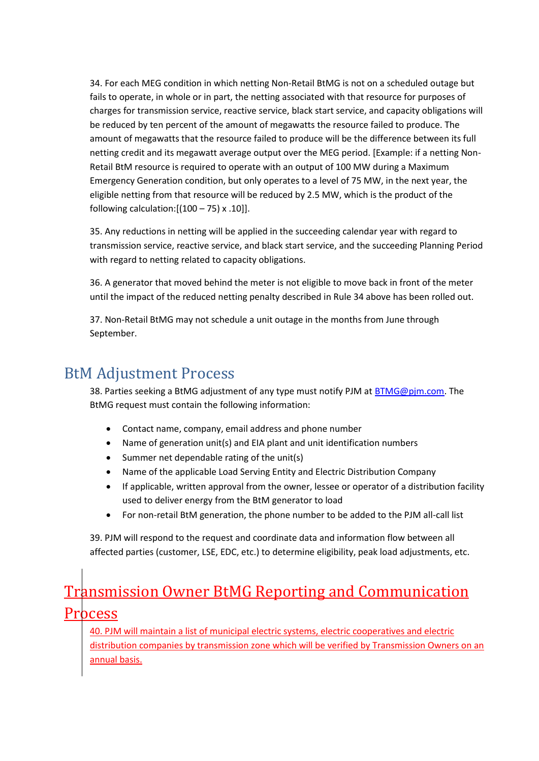34. For each MEG condition in which netting Non-Retail BtMG is not on a scheduled outage but fails to operate, in whole or in part, the netting associated with that resource for purposes of charges for transmission service, reactive service, black start service, and capacity obligations will be reduced by ten percent of the amount of megawatts the resource failed to produce. The amount of megawatts that the resource failed to produce will be the difference between its full netting credit and its megawatt average output over the MEG period. [Example: if a netting Non-Retail BtM resource is required to operate with an output of 100 MW during a Maximum Emergency Generation condition, but only operates to a level of 75 MW, in the next year, the eligible netting from that resource will be reduced by 2.5 MW, which is the product of the following calculation: $[(100 - 75) \times .10]$ .

35. Any reductions in netting will be applied in the succeeding calendar year with regard to transmission service, reactive service, and black start service, and the succeeding Planning Period with regard to netting related to capacity obligations.

36. A generator that moved behind the meter is not eligible to move back in front of the meter until the impact of the reduced netting penalty described in Rule 34 above has been rolled out.

37. Non-Retail BtMG may not schedule a unit outage in the months from June through September.

#### BtM Adjustment Process

38. Parties seeking a BtMG adjustment of any type must notify PJM at [BTMG@pjm.com.](mailto:BTMG@pjm.com) The BtMG request must contain the following information:

- Contact name, company, email address and phone number
- Name of generation unit(s) and EIA plant and unit identification numbers
- Summer net dependable rating of the unit(s)
- Name of the applicable Load Serving Entity and Electric Distribution Company
- If applicable, written approval from the owner, lessee or operator of a distribution facility used to deliver energy from the BtM generator to load
- For non-retail BtM generation, the phone number to be added to the PJM all-call list

39. PJM will respond to the request and coordinate data and information flow between all affected parties (customer, LSE, EDC, etc.) to determine eligibility, peak load adjustments, etc.

## **Transmission Owner BtMG Reporting and Communication Process**

40. PJM will maintain a list of municipal electric systems, electric cooperatives and electric distribution companies by transmission zone which will be verified by Transmission Owners on an annual basis.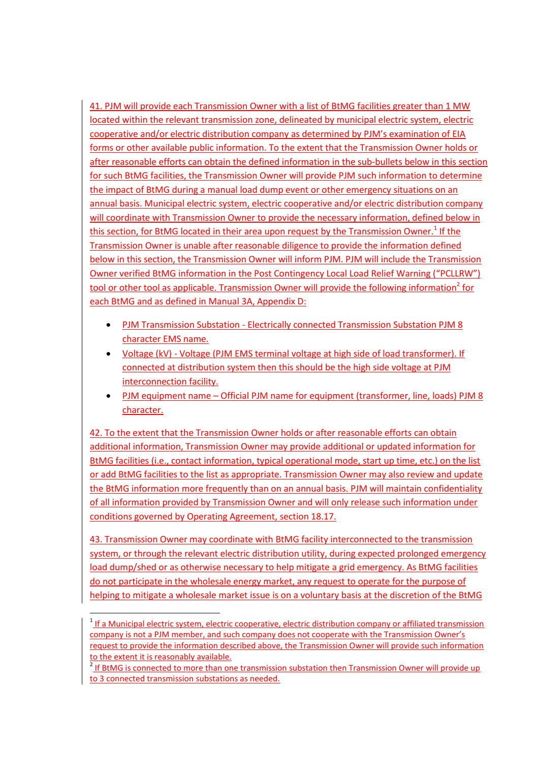41. PJM will provide each Transmission Owner with a list of BtMG facilities greater than 1 MW located within the relevant transmission zone, delineated by municipal electric system, electric cooperative and/or electric distribution company as determined by PJM's examination of EIA forms or other available public information. To the extent that the Transmission Owner holds or after reasonable efforts can obtain the defined information in the sub-bullets below in this section for such BtMG facilities, the Transmission Owner will provide PJM such information to determine the impact of BtMG during a manual load dump event or other emergency situations on an annual basis. Municipal electric system, electric cooperative and/or electric distribution company will coordinate with Transmission Owner to provide the necessary information, defined below in this section, for BtMG located in their area upon request by the Transmission Owner.<sup>1</sup> If the Transmission Owner is unable after reasonable diligence to provide the information defined below in this section, the Transmission Owner will inform PJM. PJM will include the Transmission Owner verified BtMG information in the Post Contingency Local Load Relief Warning ("PCLLRW") tool or other tool as applicable. Transmission Owner will provide the following information<sup>2</sup> for each BtMG and as defined in Manual 3A, Appendix D:

- PJM Transmission Substation Electrically connected Transmission Substation PJM 8 character EMS name.
- Voltage (kV) Voltage (PJM EMS terminal voltage at high side of load transformer). If connected at distribution system then this should be the high side voltage at PJM interconnection facility.
- PJM equipment name Official PJM name for equipment (transformer, line, loads) PJM 8 character.

42. To the extent that the Transmission Owner holds or after reasonable efforts can obtain additional information, Transmission Owner may provide additional or updated information for BtMG facilities (i.e., contact information, typical operational mode, start up time, etc.) on the list or add BtMG facilities to the list as appropriate. Transmission Owner may also review and update the BtMG information more frequently than on an annual basis. PJM will maintain confidentiality of all information provided by Transmission Owner and will only release such information under conditions governed by Operating Agreement, section 18.17.

43. Transmission Owner may coordinate with BtMG facility interconnected to the transmission system, or through the relevant electric distribution utility, during expected prolonged emergency load dump/shed or as otherwise necessary to help mitigate a grid emergency. As BtMG facilities do not participate in the wholesale energy market, any request to operate for the purpose of helping to mitigate a wholesale market issue is on a voluntary basis at the discretion of the BtMG

 $\ddot{\phantom{a}}$ 

<sup>&</sup>lt;sup>1</sup> If a Municipal electric system, electric cooperative, electric distribution company or affiliated transmission company is not a PJM member, and such company does not cooperate with the Transmission Owner's request to provide the information described above, the Transmission Owner will provide such information to the extent it is reasonably available.

<sup>&</sup>lt;sup>2</sup> If BtMG is connected to more than one transmission substation then Transmission Owner will provide up to 3 connected transmission substations as needed.